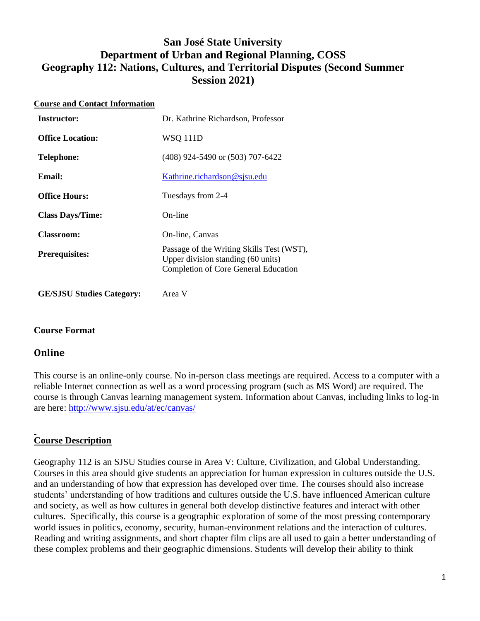# **San José State University Department of Urban and Regional Planning, COSS Geography 112: Nations, Cultures, and Territorial Disputes (Second Summer Session 2021)**

| <b>Course and Contact Information</b> |                                                                                                                                |  |  |  |
|---------------------------------------|--------------------------------------------------------------------------------------------------------------------------------|--|--|--|
| <b>Instructor:</b>                    | Dr. Kathrine Richardson, Professor                                                                                             |  |  |  |
| <b>Office Location:</b>               | <b>WSQ 111D</b>                                                                                                                |  |  |  |
| <b>Telephone:</b>                     | (408) 924-5490 or (503) 707-6422                                                                                               |  |  |  |
| Email:                                | Kathrine.richardson@sjsu.edu                                                                                                   |  |  |  |
| <b>Office Hours:</b>                  | Tuesdays from 2-4                                                                                                              |  |  |  |
| <b>Class Days/Time:</b>               | On-line                                                                                                                        |  |  |  |
| <b>Classroom:</b>                     | On-line, Canvas                                                                                                                |  |  |  |
| <b>Prerequisites:</b>                 | Passage of the Writing Skills Test (WST),<br>Upper division standing (60 units)<br><b>Completion of Core General Education</b> |  |  |  |

**GE/SJSU Studies Category:** Area V

## **Course Format**

#### **Online**

This course is an online-only course. No in-person class meetings are required. Access to a computer with a reliable Internet connection as well as a word processing program (such as MS Word) are required. The course is through Canvas learning management system. Information about Canvas, including links to log-in are here:<http://www.sjsu.edu/at/ec/canvas/>

# **Course Description**

Geography 112 is an SJSU Studies course in Area V: Culture, Civilization, and Global Understanding. Courses in this area should give students an appreciation for human expression in cultures outside the U.S. and an understanding of how that expression has developed over time. The courses should also increase students' understanding of how traditions and cultures outside the U.S. have influenced American culture and society, as well as how cultures in general both develop distinctive features and interact with other cultures. Specifically, this course is a geographic exploration of some of the most pressing contemporary world issues in politics, economy, security, human-environment relations and the interaction of cultures. Reading and writing assignments, and short chapter film clips are all used to gain a better understanding of these complex problems and their geographic dimensions. Students will develop their ability to think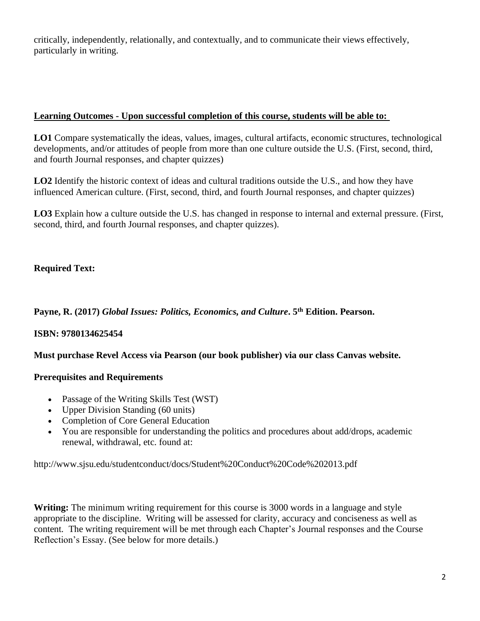critically, independently, relationally, and contextually, and to communicate their views effectively, particularly in writing.

### **Learning Outcomes - Upon successful completion of this course, students will be able to:**

**LO1** Compare systematically the ideas, values, images, cultural artifacts, economic structures, technological developments, and/or attitudes of people from more than one culture outside the U.S. (First, second, third, and fourth Journal responses, and chapter quizzes)

**LO2** Identify the historic context of ideas and cultural traditions outside the U.S., and how they have influenced American culture. (First, second, third, and fourth Journal responses, and chapter quizzes)

**LO3** Explain how a culture outside the U.S. has changed in response to internal and external pressure. (First, second, third, and fourth Journal responses, and chapter quizzes).

# **Required Text:**

**Payne, R. (2017)** *Global Issues: Politics, Economics, and Culture***. 5th Edition. Pearson.** 

## **ISBN: 9780134625454**

**Must purchase Revel Access via Pearson (our book publisher) via our class Canvas website.**

#### **Prerequisites and Requirements**

- Passage of the Writing Skills Test (WST)
- Upper Division Standing (60 units)
- Completion of Core General Education
- You are responsible for understanding the politics and procedures about add/drops, academic renewal, withdrawal, etc. found at:

http://www.sjsu.edu/studentconduct/docs/Student%20Conduct%20Code%202013.pdf

**Writing:** The minimum writing requirement for this course is 3000 words in a language and style appropriate to the discipline. Writing will be assessed for clarity, accuracy and conciseness as well as content. The writing requirement will be met through each Chapter's Journal responses and the Course Reflection's Essay. (See below for more details.)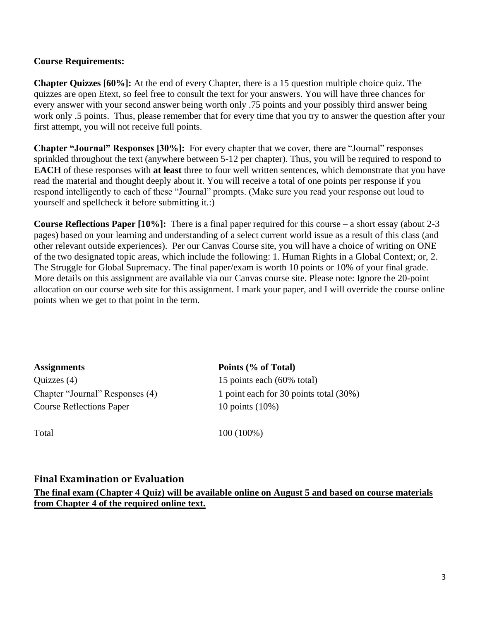#### **Course Requirements:**

**Chapter Quizzes [60%]:** At the end of every Chapter, there is a 15 question multiple choice quiz. The quizzes are open Etext, so feel free to consult the text for your answers. You will have three chances for every answer with your second answer being worth only .75 points and your possibly third answer being work only .5 points. Thus, please remember that for every time that you try to answer the question after your first attempt, you will not receive full points.

**Chapter "Journal" Responses [30%]:** For every chapter that we cover, there are "Journal" responses sprinkled throughout the text (anywhere between 5-12 per chapter). Thus, you will be required to respond to **EACH** of these responses with **at least** three to four well written sentences, which demonstrate that you have read the material and thought deeply about it. You will receive a total of one points per response if you respond intelligently to each of these "Journal" prompts. (Make sure you read your response out loud to yourself and spellcheck it before submitting it.:)

**Course Reflections Paper [10%]:** There is a final paper required for this course – a short essay (about 2-3 pages) based on your learning and understanding of a select current world issue as a result of this class (and other relevant outside experiences). Per our Canvas Course site, you will have a choice of writing on ONE of the two designated topic areas, which include the following: 1. Human Rights in a Global Context; or, 2. The Struggle for Global Supremacy. The final paper/exam is worth 10 points or 10% of your final grade. More details on this assignment are available via our Canvas course site. Please note: Ignore the 20-point allocation on our course web site for this assignment. I mark your paper, and I will override the course online points when we get to that point in the term.

**Assignments Points (% of Total)** Quizzes (4) 15 points each (60% total) Course Reflections Paper 10 points (10%)

Chapter "Journal" Responses (4) 1 point each for 30 points total (30%)

Total 100 (100%)

#### **Final Examination or Evaluation**

**The final exam (Chapter 4 Quiz) will be available online on August 5 and based on course materials from Chapter 4 of the required online text.**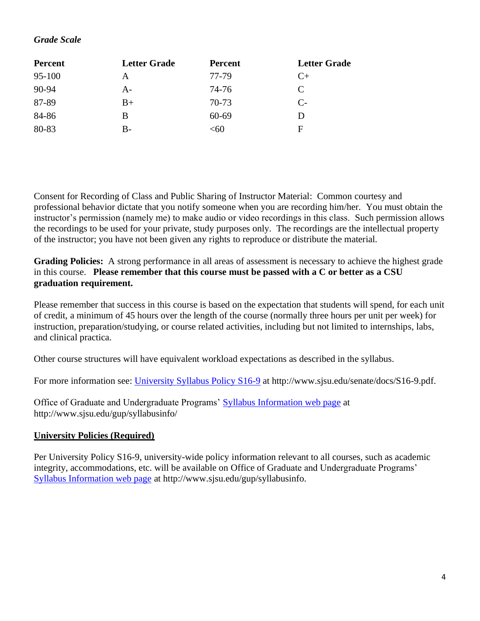## *Grade Scale*

| <b>Percent</b> | <b>Letter Grade</b> | <b>Percent</b> | <b>Letter Grade</b> |
|----------------|---------------------|----------------|---------------------|
| 95-100         | A                   | 77-79          | $C+$                |
| 90-94          | $A-$                | 74-76          | C                   |
| 87-89          | $B+$                | 70-73          | $C_{\tau}$          |
| 84-86          | <sub>B</sub>        | $60 - 69$      | D                   |
| 80-83          | $B-$                | < 60           | $\mathbf F$         |

Consent for Recording of Class and Public Sharing of Instructor Material: Common courtesy and professional behavior dictate that you notify someone when you are recording him/her. You must obtain the instructor's permission (namely me) to make audio or video recordings in this class. Such permission allows the recordings to be used for your private, study purposes only. The recordings are the intellectual property of the instructor; you have not been given any rights to reproduce or distribute the material.

**Grading Policies:** A strong performance in all areas of assessment is necessary to achieve the highest grade in this course. **Please remember that this course must be passed with a C or better as a CSU graduation requirement.**

Please remember that success in this course is based on the expectation that students will spend, for each unit of credit, a minimum of 45 hours over the length of the course (normally three hours per unit per week) for instruction, preparation/studying, or course related activities, including but not limited to internships, labs, and clinical practica.

Other course structures will have equivalent workload expectations as described in the syllabus.

For more information see: [University Syllabus Policy S16-9](http://www.sjsu.edu/senate/docs/S16-9.pdf) at http://www.sjsu.edu/senate/docs/S16-9.pdf.

Office of Graduate and Undergraduate Programs' [Syllabus Information](http://www.sjsu.edu/gup/syllabusinfo/) web page at http://www.sjsu.edu/gup/syllabusinfo/

#### **University Policies (Required)**

Per University Policy S16-9, university-wide policy information relevant to all courses, such as academic integrity, accommodations, etc. will be available on Office of Graduate and Undergraduate Programs' [Syllabus Information web page](http://www.sjsu.edu/gup/syllabusinfo/) at http://www.sjsu.edu/gup/syllabusinfo.